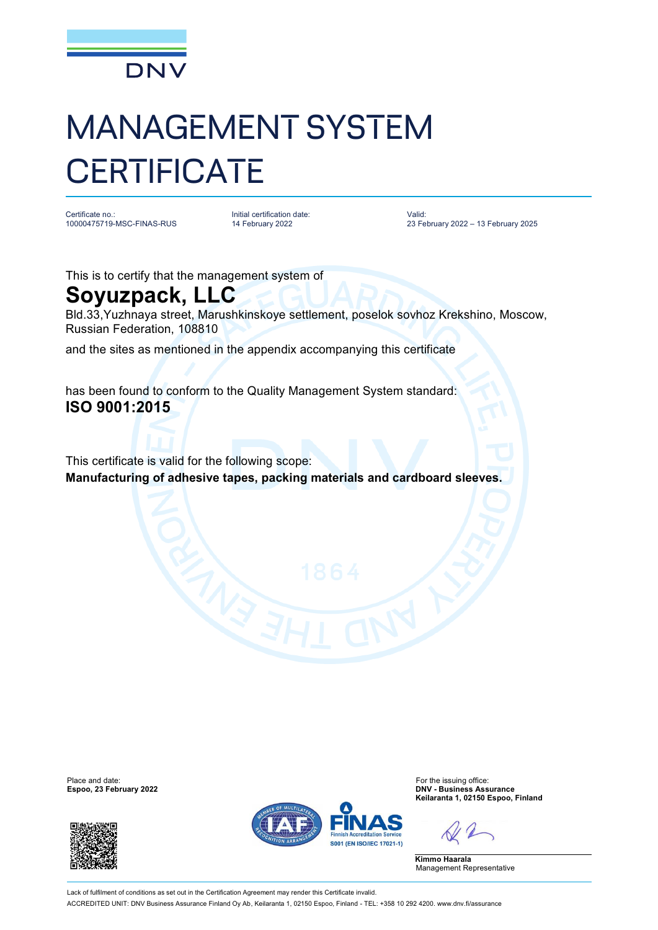

## MANAGEMENT SYSTEM **CERTIFICATE**

Certificate no.: 10000475719-MSC-FINAS-RUS Initial certification date: 14 February 2022

Valid: 23 February 2022 – 13 February 2025

This is to certify that the management system of

## **Soyuzpack, LLC**

Bld.33,Yuzhnaya street, Marushkinskoye settlement, poselok sovhoz Krekshino, Moscow, Russian Federation, 108810

and the sites as mentioned in the appendix accompanying this certificate

has been found to conform to the Quality Management System standard: **ISO 9001:2015**

This certificate is valid for the following scope: **Manufacturing of adhesive tapes, packing materials and cardboard sleeves.**

**Espoo, 23 February 2022** 





Place and date:<br> **Espoo, 23 February 2022 Espoo, 23 February 2022 Espoo, 23 February 2022 Expool Keilaranta 1, 02150 Espoo, Finland**

**Kimmo Haarala** Management Representative

Lack of fulfilment of conditions as set out in the Certification Agreement may render this Certificate invalid. ACCREDITED UNIT: DNV Business Assurance Finland Oy Ab, Keilaranta 1, 02150 Espoo, Finland - TEL: +358 10 292 4200. [www.dnv.fi/assurance](http://www.dnv.fi/assurance)